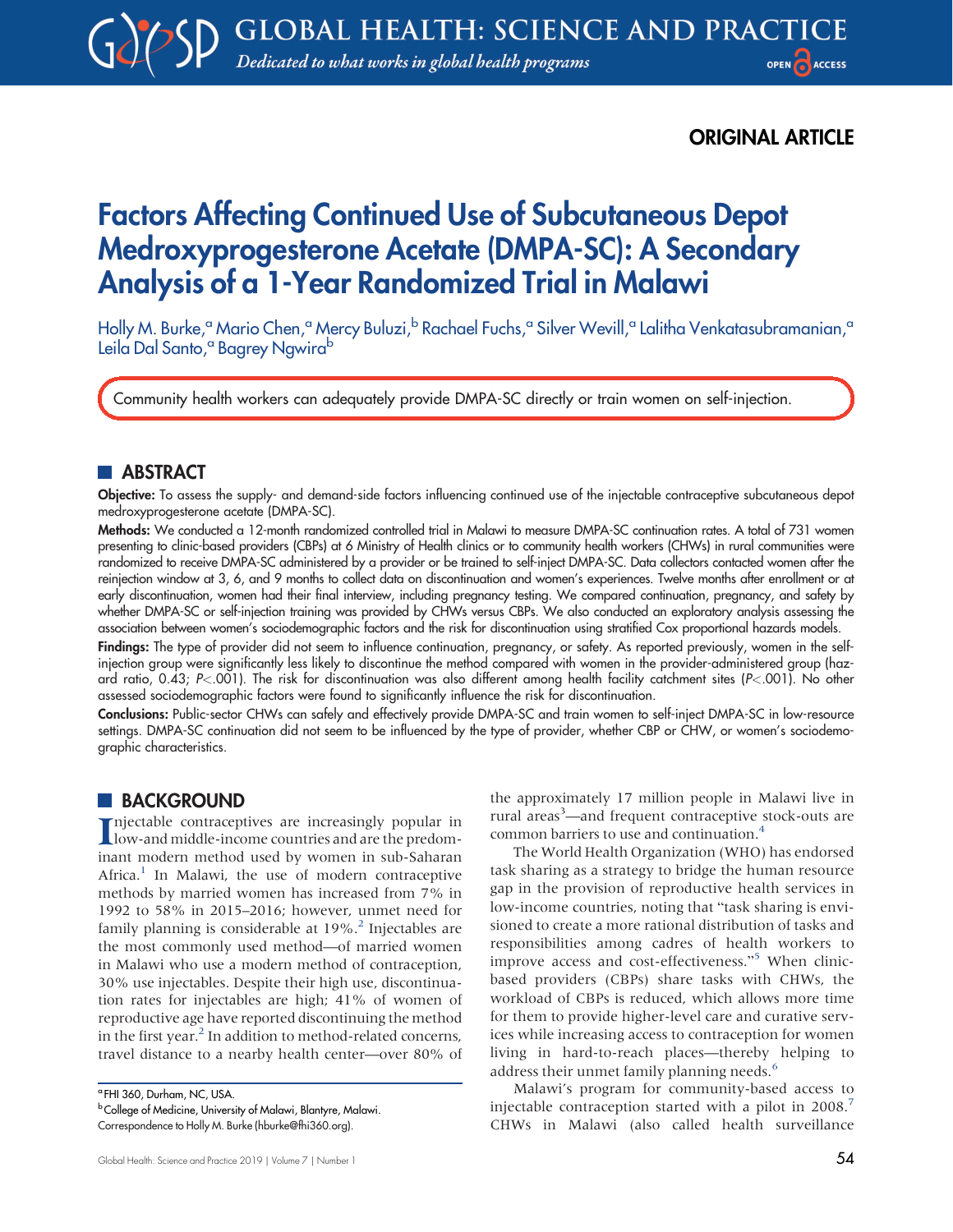## ORIGINAL ARTICLE

# Factors Affecting Continued Use of Subcutaneous Depot Medroxyprogesterone Acetate (DMPA-SC): A Secondary Analysis of a 1-Year Randomized Trial in Malawi

Holly M. Burke,<sup>a</sup> Mario Chen,<sup>a</sup> Mercy Buluzi,<sup>b</sup> Rachael Fuchs,<sup>a</sup> Silver Wevill,<sup>a</sup> Lalitha Venkatasubramanian,<sup>a</sup> Leila Dal Santo,<sup>a</sup> Bagrey Ngwira<sup>b</sup>

Community health workers can adequately provide DMPA-SC directly or train women on self-injection.

## **ABSTRACT**

Objective: To assess the supply- and demand-side factors influencing continued use of the injectable contraceptive subcutaneous depot medroxyprogesterone acetate (DMPA-SC).

Methods: We conducted a 12-month randomized controlled trial in Malawi to measure DMPA-SC continuation rates. A total of 731 women presenting to clinic-based providers (CBPs) at 6 Ministry of Health clinics or to community health workers (CHWs) in rural communities were randomized to receive DMPA-SC administered by a provider or be trained to self-inject DMPA-SC. Data collectors contacted women after the reinjection window at 3, 6, and 9 months to collect data on discontinuation and women's experiences. Twelve months after enrollment or at early discontinuation, women had their final interview, including pregnancy testing. We compared continuation, pregnancy, and safety by whether DMPA-SC or self-injection training was provided by CHWs versus CBPs. We also conducted an exploratory analysis assessing the association between women's sociodemographic factors and the risk for discontinuation using stratified Cox proportional hazards models.

Findings: The type of provider did not seem to influence continuation, pregnancy, or safety. As reported previously, women in the selfinjection group were significantly less likely to discontinue the method compared with women in the provider-administered group (hazard ratio, 0.43; P<.001). The risk for discontinuation was also different among health facility catchment sites (P<.001). No other assessed sociodemographic factors were found to significantly influence the risk for discontinuation.

Conclusions: Public-sector CHWs can safely and effectively provide DMPA-SC and train women to self-inject DMPA-SC in low-resource settings. DMPA-SC continuation did not seem to be influenced by the type of provider, whether CBP or CHW, or women's sociodemographic characteristics.

### **BACKGROUND**

Injectable contraceptives are increasingly popular in low-and middle-income countries and are the predomnjectable contraceptives are increasingly popular in inant modern method used by women in sub-Saharan Africa.<sup>1</sup> In Malawi, the use of modern contraceptive methods by married women has increased from 7% in 1992 to 58% in 2015–2016; however, unmet need for family planning is considerable at  $19\%$ <sup>2</sup>. Injectables are the most commonly used method—of married women in Malawi who use a modern method of contraception, 30% use injectables. Despite their high use, discontinuation rates for injectables are high; 41% of women of reproductive age have reported discontinuing the method in the first year. $<sup>2</sup>$  $<sup>2</sup>$  $<sup>2</sup>$  In addition to method-related concerns,</sup> travel distance to a nearby health center—over 80% of the approximately 17 million people in Malawi live in rural areas<sup>3</sup>—and frequent contraceptive stock-outs are common barriers to use and continuation.[4](#page-9-2)

The World Health Organization (WHO) has endorsed task sharing as a strategy to bridge the human resource gap in the provision of reproductive health services in low-income countries, noting that "task sharing is envisioned to create a more rational distribution of tasks and responsibilities among cadres of health workers to improve access and cost-effectiveness."[5](#page-10-0) When clinicbased providers (CBPs) share tasks with CHWs, the workload of CBPs is reduced, which allows more time for them to provide higher-level care and curative services while increasing access to contraception for women living in hard-to-reach places—thereby helping to address their unmet family planning needs.<sup>[6](#page-10-1)</sup>

Malawi's program for community-based access to injectable contraception started with a pilot in 2008.<sup>[7](#page-10-2)</sup> CHWs in Malawi (also called health surveillance

<sup>a</sup> FHI 360, Durham, NC, USA.

b College of Medicine, University of Malawi, Blantyre, Malawi.

Correspondence to Holly M. Burke ([hburke@fhi360.org](mailto:hburke@fhi360.org)).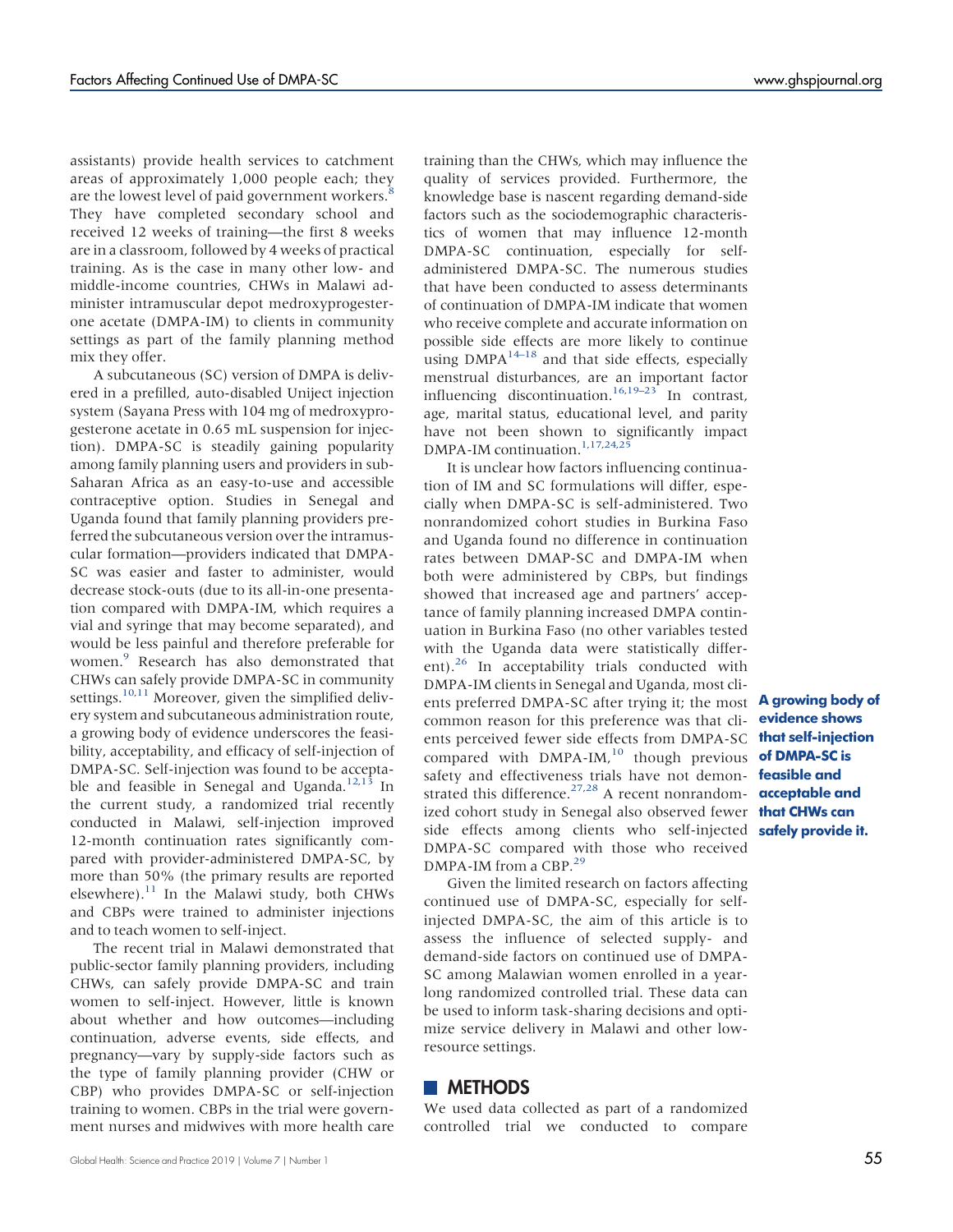assistants) provide health services to catchment areas of approximately 1,000 people each; they are the lowest level of paid government workers. $\frac{8}{3}$  $\frac{8}{3}$  $\frac{8}{3}$ They have completed secondary school and received 12 weeks of training—the first 8 weeks are in a classroom, followed by 4 weeks of practical training. As is the case in many other low- and middle-income countries, CHWs in Malawi administer intramuscular depot medroxyprogesterone acetate (DMPA-IM) to clients in community settings as part of the family planning method mix they offer.

A subcutaneous (SC) version of DMPA is delivered in a prefilled, auto-disabled Uniject injection system (Sayana Press with 104 mg of medroxyprogesterone acetate in 0.65 mL suspension for injection). DMPA-SC is steadily gaining popularity among family planning users and providers in sub-Saharan Africa as an easy-to-use and accessible contraceptive option. Studies in Senegal and Uganda found that family planning providers preferred the subcutaneous version over the intramuscular formation—providers indicated that DMPA-SC was easier and faster to administer, would decrease stock-outs (due to its all-in-one presentation compared with DMPA-IM, which requires a vial and syringe that may become separated), and would be less painful and therefore preferable for women.<sup>9</sup> Research has also demonstrated that CHWs can safely provide DMPA-SC in community settings.<sup>10[,11](#page-10-6)</sup> Moreover, given the simplified delivery system and subcutaneous administration route, a growing body of evidence underscores the feasibility, acceptability, and efficacy of self-injection of DMPA-SC. Self-injection was found to be accepta-ble and feasible in Senegal and Uganda.<sup>[12](#page-10-7)[,13](#page-10-8)</sup> In the current study, a randomized trial recently conducted in Malawi, self-injection improved 12-month continuation rates significantly compared with provider-administered DMPA-SC, by more than 50% (the primary results are reported elsewhere). $^{11}$  In the Malawi study, both CHWs and CBPs were trained to administer injections and to teach women to self-inject.

The recent trial in Malawi demonstrated that public-sector family planning providers, including CHWs, can safely provide DMPA-SC and train women to self-inject. However, little is known about whether and how outcomes—including continuation, adverse events, side effects, and pregnancy—vary by supply-side factors such as the type of family planning provider (CHW or CBP) who provides DMPA-SC or self-injection training to women. CBPs in the trial were government nurses and midwives with more health care training than the CHWs, which may influence the quality of services provided. Furthermore, the knowledge base is nascent regarding demand-side factors such as the sociodemographic characteristics of women that may influence 12-month DMPA-SC continuation, especially for selfadministered DMPA-SC. The numerous studies that have been conducted to assess determinants of continuation of DMPA-IM indicate that women who receive complete and accurate information on possible side effects are more likely to continue using  $DMPA^{14-18}$  $DMPA^{14-18}$  $DMPA^{14-18}$  and that side effects, especially menstrual disturbances, are an important factor influencing discontinuation.<sup>[16](#page-10-11)[,19](#page-10-12)–[23](#page-10-13)</sup> In contrast, age, marital status, educational level, and parity have not been shown to significantly impact DMPA-IM continuation.<sup>1[,17](#page-10-14)[,24,](#page-10-15)[25](#page-10-16)</sup>

It is unclear how factors influencing continuation of IM and SC formulations will differ, especially when DMPA-SC is self-administered. Two nonrandomized cohort studies in Burkina Faso and Uganda found no difference in continuation rates between DMAP-SC and DMPA-IM when both were administered by CBPs, but findings showed that increased age and partners' acceptance of family planning increased DMPA continuation in Burkina Faso (no other variables tested with the Uganda data were statistically differ-ent).<sup>[26](#page-10-17)</sup> In acceptability trials conducted with DMPA-IM clients in Senegal and Uganda, most clients preferred DMPA-SC after trying it; the most common reason for this preference was that clients perceived fewer side effects from DMPA-SC compared with  $DMPA-IM,$ <sup>[10](#page-10-5)</sup> though previous safety and effectiveness trials have not demon- feasible and strated this difference. $27,28$  $27,28$  A recent nonrandomized cohort study in Senegal also observed fewer **that CHWs can** side effects among clients who self-injected safely provide it. DMPA-SC compared with those who received DMPA-IM from a CBP.<sup>29</sup>

Given the limited research on factors affecting continued use of DMPA-SC, especially for selfinjected DMPA-SC, the aim of this article is to assess the influence of selected supply- and demand-side factors on continued use of DMPA-SC among Malawian women enrolled in a yearlong randomized controlled trial. These data can be used to inform task-sharing decisions and optimize service delivery in Malawi and other lowresource settings.

### **METHODS**

We used data collected as part of a randomized controlled trial we conducted to compare

A growing body of evidence shows that self-injection of DMPA-SC is acceptable and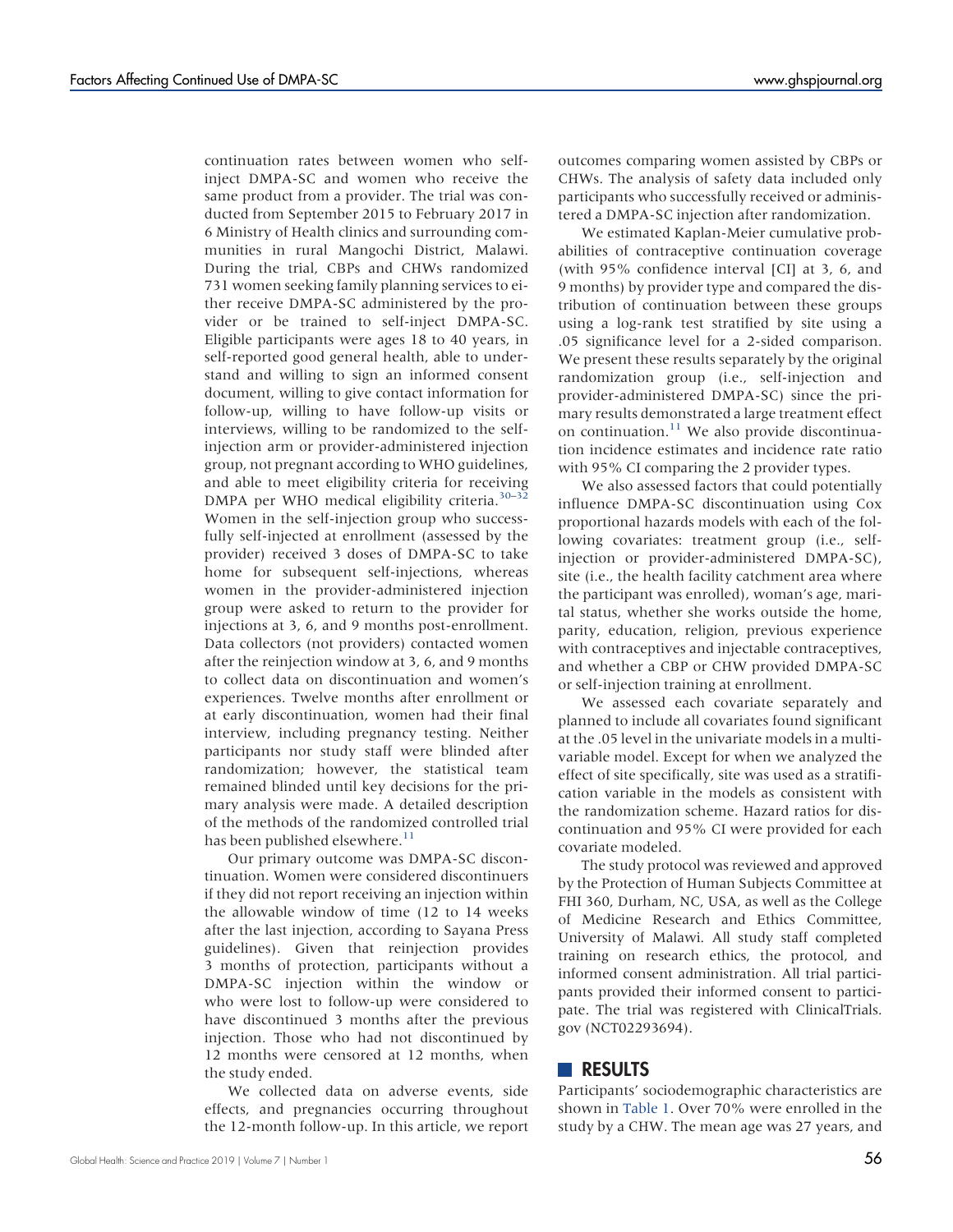continuation rates between women who selfinject DMPA-SC and women who receive the same product from a provider. The trial was conducted from September 2015 to February 2017 in 6 Ministry of Health clinics and surrounding communities in rural Mangochi District, Malawi. During the trial, CBPs and CHWs randomized 731 women seeking family planning services to either receive DMPA-SC administered by the provider or be trained to self-inject DMPA-SC. Eligible participants were ages 18 to 40 years, in self-reported good general health, able to understand and willing to sign an informed consent document, willing to give contact information for follow-up, willing to have follow-up visits or interviews, willing to be randomized to the selfinjection arm or provider-administered injection group, not pregnant according to WHO guidelines, and able to meet eligibility criteria for receiving DMPA per WHO medical eligibility criteria.<sup>[30](#page-10-21)–[32](#page-10-22)</sup> Women in the self-injection group who successfully self-injected at enrollment (assessed by the provider) received 3 doses of DMPA-SC to take home for subsequent self-injections, whereas women in the provider-administered injection group were asked to return to the provider for injections at 3, 6, and 9 months post-enrollment. Data collectors (not providers) contacted women after the reinjection window at 3, 6, and 9 months to collect data on discontinuation and women's experiences. Twelve months after enrollment or at early discontinuation, women had their final interview, including pregnancy testing. Neither participants nor study staff were blinded after randomization; however, the statistical team remained blinded until key decisions for the primary analysis were made. A detailed description of the methods of the randomized controlled trial has been published elsewhere.<sup>[11](#page-10-6)</sup>

Our primary outcome was DMPA-SC discontinuation. Women were considered discontinuers if they did not report receiving an injection within the allowable window of time (12 to 14 weeks after the last injection, according to Sayana Press guidelines). Given that reinjection provides 3 months of protection, participants without a DMPA-SC injection within the window or who were lost to follow-up were considered to have discontinued 3 months after the previous injection. Those who had not discontinued by 12 months were censored at 12 months, when the study ended.

We collected data on adverse events, side effects, and pregnancies occurring throughout the 12-month follow-up. In this article, we report outcomes comparing women assisted by CBPs or CHWs. The analysis of safety data included only participants who successfully received or administered a DMPA-SC injection after randomization.

We estimated Kaplan-Meier cumulative probabilities of contraceptive continuation coverage (with 95% confidence interval [CI] at 3, 6, and 9 months) by provider type and compared the distribution of continuation between these groups using a log-rank test stratified by site using a .05 significance level for a 2-sided comparison. We present these results separately by the original randomization group (i.e., self-injection and provider-administered DMPA-SC) since the primary results demonstrated a large treatment effect on continuation. $^{11}$  $^{11}$  $^{11}$  We also provide discontinuation incidence estimates and incidence rate ratio with 95% CI comparing the 2 provider types.

We also assessed factors that could potentially influence DMPA-SC discontinuation using Cox proportional hazards models with each of the following covariates: treatment group (i.e., selfinjection or provider-administered DMPA-SC), site (i.e., the health facility catchment area where the participant was enrolled), woman's age, marital status, whether she works outside the home, parity, education, religion, previous experience with contraceptives and injectable contraceptives, and whether a CBP or CHW provided DMPA-SC or self-injection training at enrollment.

We assessed each covariate separately and planned to include all covariates found significant at the .05 level in the univariate models in a multivariable model. Except for when we analyzed the effect of site specifically, site was used as a stratification variable in the models as consistent with the randomization scheme. Hazard ratios for discontinuation and 95% CI were provided for each covariate modeled.

The study protocol was reviewed and approved by the Protection of Human Subjects Committee at FHI 360, Durham, NC, USA, as well as the College of Medicine Research and Ethics Committee, University of Malawi. All study staff completed training on research ethics, the protocol, and informed consent administration. All trial participants provided their informed consent to participate. The trial was registered with ClinicalTrials. gov (NCT02293694).

### **RESULTS**

Participants' sociodemographic characteristics are shown in [Table 1.](#page-3-0) Over 70% were enrolled in the study by a CHW. The mean age was 27 years, and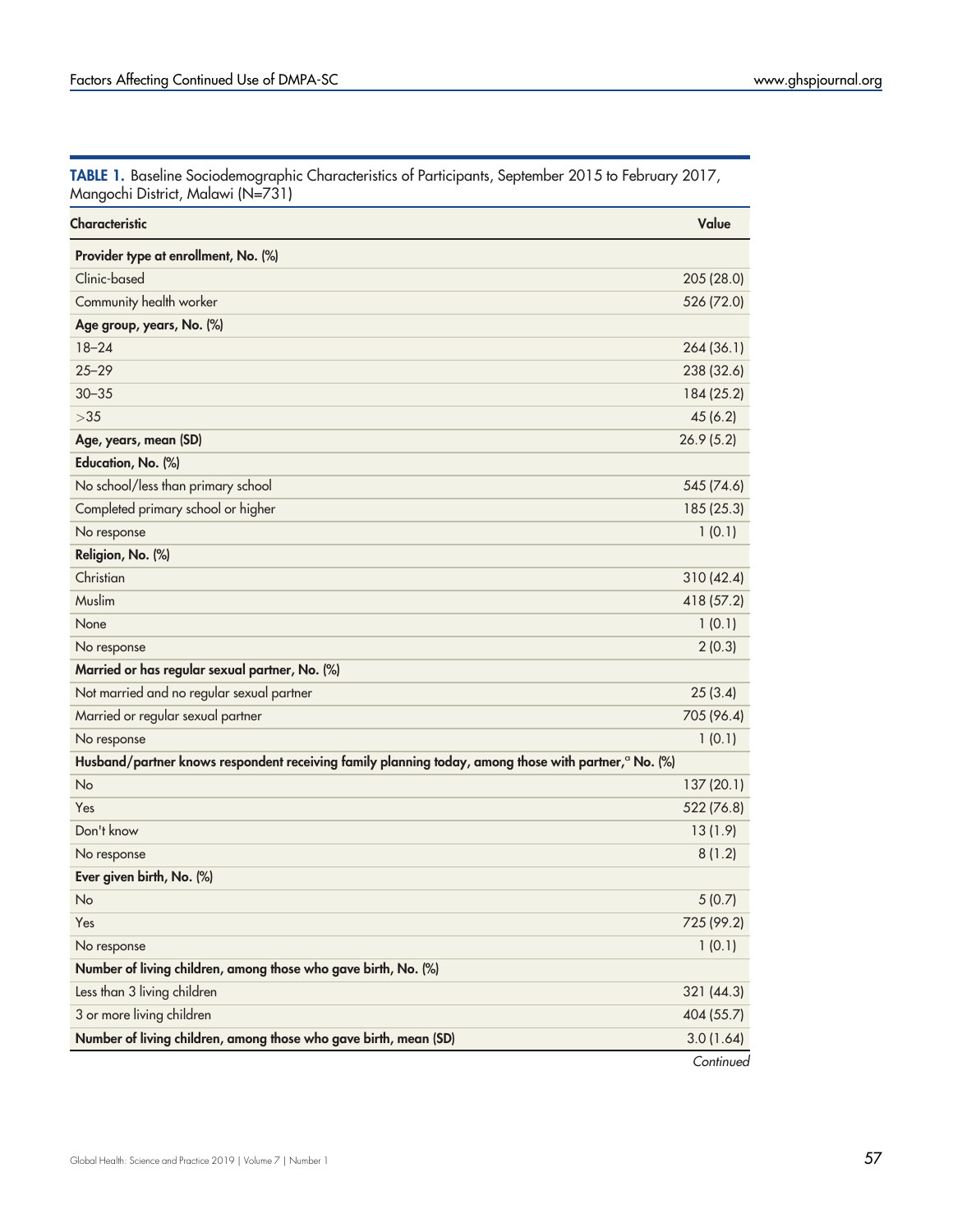<span id="page-3-0"></span>

|  | TABLE 1. Baseline Sociodemographic Characteristics of Participants, September 2015 to February 2017, |  |  |  |
|--|------------------------------------------------------------------------------------------------------|--|--|--|
|  | Mangochi District, Malawi (N=731)                                                                    |  |  |  |

| Characteristic                                                                                                   | Value      |
|------------------------------------------------------------------------------------------------------------------|------------|
| Provider type at enrollment, No. (%)                                                                             |            |
| Clinic-based                                                                                                     | 205 (28.0) |
| Community health worker                                                                                          | 526 (72.0) |
| Age group, years, No. (%)                                                                                        |            |
| $18 - 24$                                                                                                        | 264 (36.1) |
| $25 - 29$                                                                                                        | 238 (32.6) |
| $30 - 35$                                                                                                        | 184 (25.2) |
| $>35$                                                                                                            | 45(6.2)    |
| Age, years, mean (SD)                                                                                            | 26.9(5.2)  |
| Education, No. (%)                                                                                               |            |
| No school/less than primary school                                                                               | 545 (74.6) |
| Completed primary school or higher                                                                               | 185 (25.3) |
| No response                                                                                                      | 1(0.1)     |
| Religion, No. (%)                                                                                                |            |
| Christian                                                                                                        | 310(42.4)  |
| Muslim                                                                                                           | 418 (57.2) |
| None                                                                                                             | 1(0.1)     |
| No response                                                                                                      | 2(0.3)     |
| Married or has regular sexual partner, No. (%)                                                                   |            |
| Not married and no regular sexual partner                                                                        | 25(3.4)    |
| Married or regular sexual partner                                                                                | 705 (96.4) |
| No response                                                                                                      | 1(0.1)     |
| Husband/partner knows respondent receiving family planning today, among those with partner, <sup>a</sup> No. (%) |            |
| No                                                                                                               | 137 (20.1) |
| Yes                                                                                                              | 522 (76.8) |
| Don't know                                                                                                       | 13(1.9)    |
| No response                                                                                                      | 8(1.2)     |
| Ever given birth, No. (%)                                                                                        |            |
| No                                                                                                               | 5(0.7)     |
| Yes                                                                                                              | 725 (99.2) |
| No response                                                                                                      | 1(0.1)     |
| Number of living children, among those who gave birth, No. (%)                                                   |            |
| Less than 3 living children                                                                                      | 321 (44.3) |
| 3 or more living children                                                                                        | 404 (55.7) |
| Number of living children, among those who gave birth, mean (SD)                                                 | 3.0(1.64)  |
|                                                                                                                  | Continued  |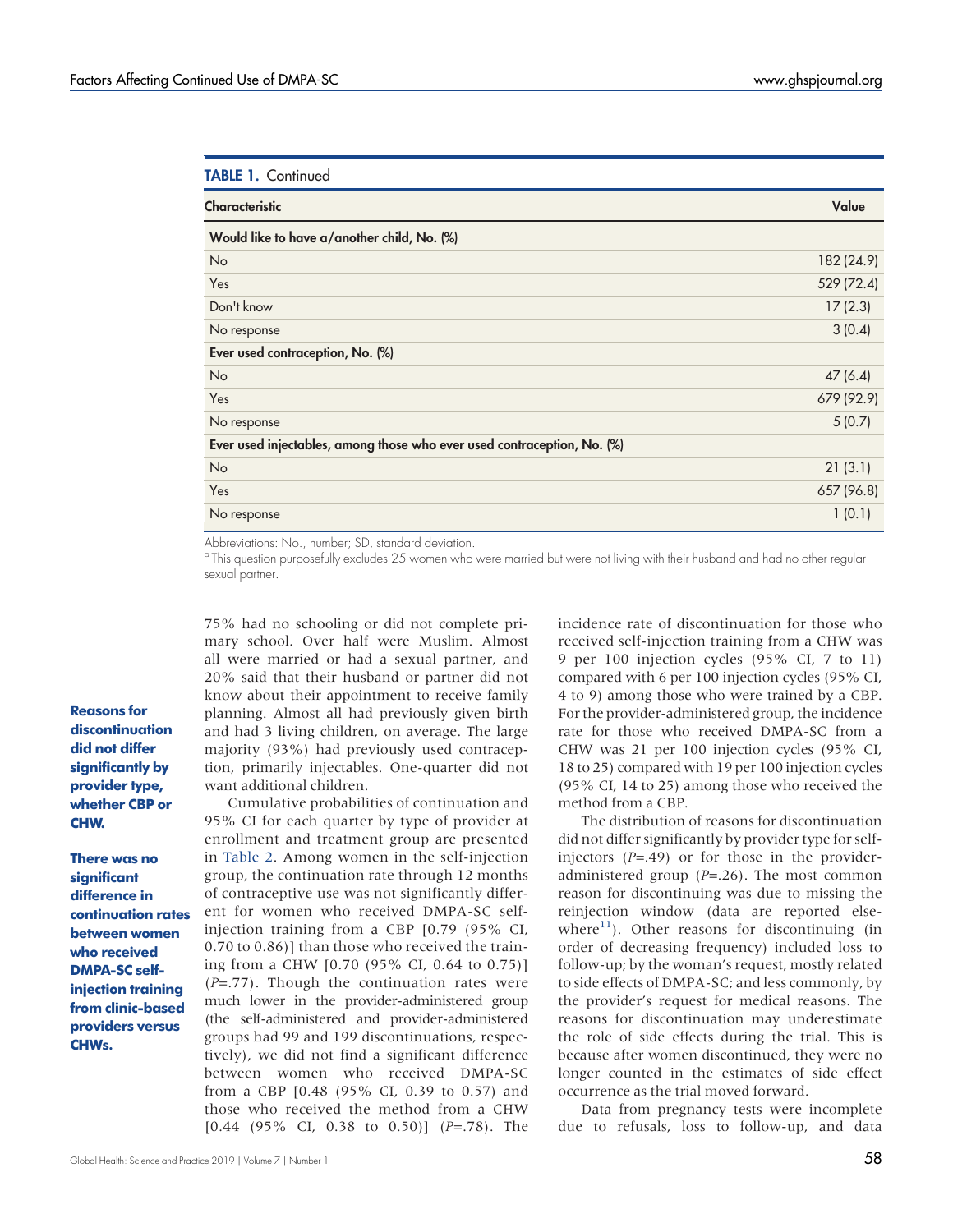| <b>TABLE 1. Continued</b>                                               |            |
|-------------------------------------------------------------------------|------------|
| <b>Characteristic</b>                                                   | Value      |
| Would like to have a/another child, No. (%)                             |            |
| No                                                                      | 182 (24.9) |
| Yes                                                                     | 529 (72.4) |
| Don't know                                                              | 17(2.3)    |
| No response                                                             | 3(0.4)     |
| Ever used contraception, No. (%)                                        |            |
| No                                                                      | 47(6.4)    |
| Yes                                                                     | 679 (92.9) |
| No response                                                             | 5(0.7)     |
| Ever used injectables, among those who ever used contraception, No. (%) |            |
| No                                                                      | 21(3.1)    |
| Yes                                                                     | 657 (96.8) |
| No response                                                             | 1(0.1)     |

Abbreviations: No., number; SD, standard deviation.

<sup>a</sup> This question purposefully excludes 25 women who were married but were not living with their husband and had no other regular sexual partner.

75% had no schooling or did not complete primary school. Over half were Muslim. Almost all were married or had a sexual partner, and 20% said that their husband or partner did not know about their appointment to receive family planning. Almost all had previously given birth and had 3 living children, on average. The large majority (93%) had previously used contraception, primarily injectables. One-quarter did not want additional children.

Cumulative probabilities of continuation and 95% CI for each quarter by type of provider at enrollment and treatment group are presented in [Table 2.](#page-5-0) Among women in the self-injection group, the continuation rate through 12 months of contraceptive use was not significantly different for women who received DMPA-SC selfinjection training from a CBP [0.79 (95% CI, 0.70 to 0.86)] than those who received the training from a CHW [0.70 (95% CI, 0.64 to 0.75)]  $(P=.77)$ . Though the continuation rates were much lower in the provider-administered group (the self-administered and provider-administered groups had 99 and 199 discontinuations, respectively), we did not find a significant difference between women who received DMPA-SC from a CBP [0.48 (95% CI, 0.39 to 0.57) and those who received the method from a CHW  $[0.44 \ (95\% \ CI, \ 0.38 \ to \ 0.50)]$   $(P=.78)$ . The

incidence rate of discontinuation for those who received self-injection training from a CHW was 9 per 100 injection cycles (95% CI, 7 to 11) compared with 6 per 100 injection cycles (95% CI, 4 to 9) among those who were trained by a CBP. For the provider-administered group, the incidence rate for those who received DMPA-SC from a CHW was 21 per 100 injection cycles (95% CI, 18 to 25) compared with 19 per 100 injection cycles (95% CI, 14 to 25) among those who received the method from a CBP.

The distribution of reasons for discontinuation did not differ significantly by provider type for selfinjectors  $(P=.49)$  or for those in the provideradministered group  $(P=.26)$ . The most common reason for discontinuing was due to missing the reinjection window (data are reported elsewhere<sup>11</sup>). Other reasons for discontinuing (in order of decreasing frequency) included loss to follow-up; by the woman's request, mostly related to side effects of DMPA-SC; and less commonly, by the provider's request for medical reasons. The reasons for discontinuation may underestimate the role of side effects during the trial. This is because after women discontinued, they were no longer counted in the estimates of side effect occurrence as the trial moved forward.

Data from pregnancy tests were incomplete due to refusals, loss to follow-up, and data

#### Reasons for discontinuation did not differ significantly by provider type, whether CBP or CHW.

There was no significant difference in continuation rates between women who received DMPA-SC selfinjection training from clinic-based providers versus CHWs.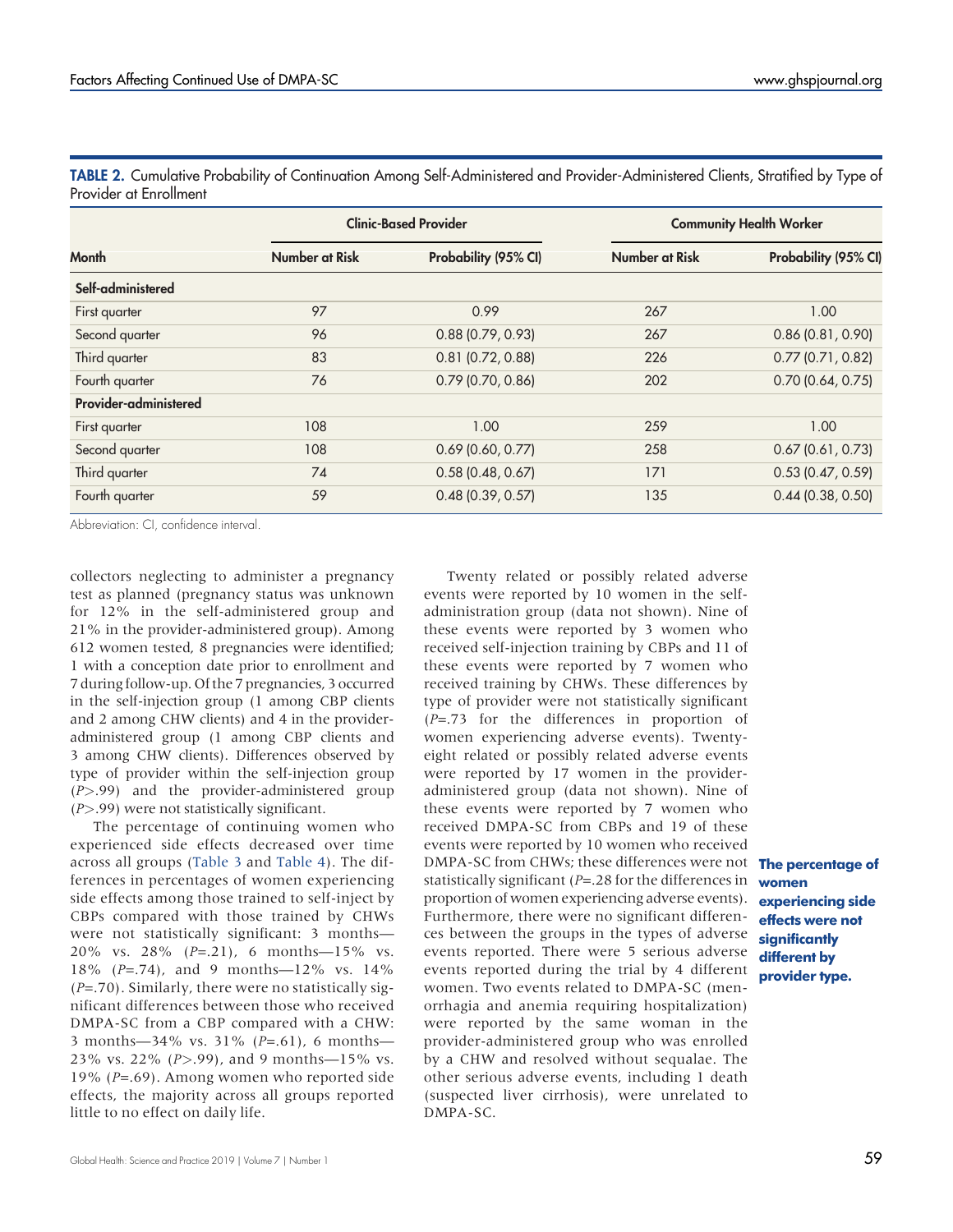|                                             |                | <b>Clinic-Based Provider</b> | <b>Community Health Worker</b> |                       |  |  |
|---------------------------------------------|----------------|------------------------------|--------------------------------|-----------------------|--|--|
| <b>Month</b>                                | Number at Risk | Probability (95% CI)         | <b>Number at Risk</b>          | Probability (95% CI)  |  |  |
| Self-administered                           |                |                              |                                |                       |  |  |
| First quarter                               | 97             | 0.99                         | 267                            | 1.00                  |  |  |
| Second quarter                              | 96             | 0.88(0.79, 0.93)             | 267                            | 0.86(0.81, 0.90)      |  |  |
| Third quarter                               | 83             | $0.81$ (0.72, 0.88)          | 226                            | $0.77$ (0.71, 0.82)   |  |  |
| Fourth quarter                              | 76             | $0.79$ (0.70, 0.86)          | 0.70(0.64, 0.75)<br>202        |                       |  |  |
| Provider-administered                       |                |                              |                                |                       |  |  |
| First quarter                               | 108            | 1.00                         | 259                            | 1.00                  |  |  |
| Second quarter                              | 108            | $0.69$ (0.60, 0.77)          | 258                            | $0.67$ $(0.61, 0.73)$ |  |  |
| Third quarter                               | 74             | 0.58(0.48, 0.67)             | 171                            | 0.53(0.47, 0.59)      |  |  |
| $0.48$ (0.39, 0.57)<br>Fourth quarter<br>59 |                |                              | 135                            | 0.44(0.38, 0.50)      |  |  |

<span id="page-5-0"></span>TABLE 2. Cumulative Probability of Continuation Among Self-Administered and Provider-Administered Clients, Stratified by Type of Provider at Enrollment

Abbreviation: CI, confidence interval.

collectors neglecting to administer a pregnancy test as planned (pregnancy status was unknown for 12% in the self-administered group and 21% in the provider-administered group). Among 612 women tested, 8 pregnancies were identified; 1 with a conception date prior to enrollment and 7 during follow-up. Of the 7 pregnancies, 3 occurred in the self-injection group (1 among CBP clients and 2 among CHW clients) and 4 in the provideradministered group (1 among CBP clients and 3 among CHW clients). Differences observed by type of provider within the self-injection group (P>.99) and the provider-administered group  $(P > .99)$  were not statistically significant.

The percentage of continuing women who experienced side effects decreased over time across all groups ([Table 3](#page-6-0) and [Table 4](#page-7-0)). The differences in percentages of women experiencing side effects among those trained to self-inject by CBPs compared with those trained by CHWs were not statistically significant: 3 months— 20% vs. 28% (P=.21), 6 months—15% vs. 18% (P=.74), and 9 months—12% vs. 14%  $(P=.70)$ . Similarly, there were no statistically significant differences between those who received DMPA-SC from a CBP compared with a CHW: 3 months—34% vs. 31% ( $P = .61$ ), 6 months— 23% vs. 22% (P>.99), and 9 months—15% vs. 19% (P=.69). Among women who reported side effects, the majority across all groups reported little to no effect on daily life.

Twenty related or possibly related adverse events were reported by 10 women in the selfadministration group (data not shown). Nine of these events were reported by 3 women who received self-injection training by CBPs and 11 of these events were reported by 7 women who received training by CHWs. These differences by type of provider were not statistically significant  $(P=.73$  for the differences in proportion of women experiencing adverse events). Twentyeight related or possibly related adverse events were reported by 17 women in the provideradministered group (data not shown). Nine of these events were reported by 7 women who received DMPA-SC from CBPs and 19 of these events were reported by 10 women who received DMPA-SC from CHWs; these differences were not The percentage of statistically significant (P=.28 for the differences in proportion of women experiencing adverse events). Furthermore, there were no significant differences between the groups in the types of adverse events reported. There were 5 serious adverse events reported during the trial by 4 different women. Two events related to DMPA-SC (menorrhagia and anemia requiring hospitalization) were reported by the same woman in the provider-administered group who was enrolled by a CHW and resolved without sequalae. The other serious adverse events, including 1 death (suspected liver cirrhosis), were unrelated to DMPA-SC.

## women experiencing side effects were not significantly different by provider type.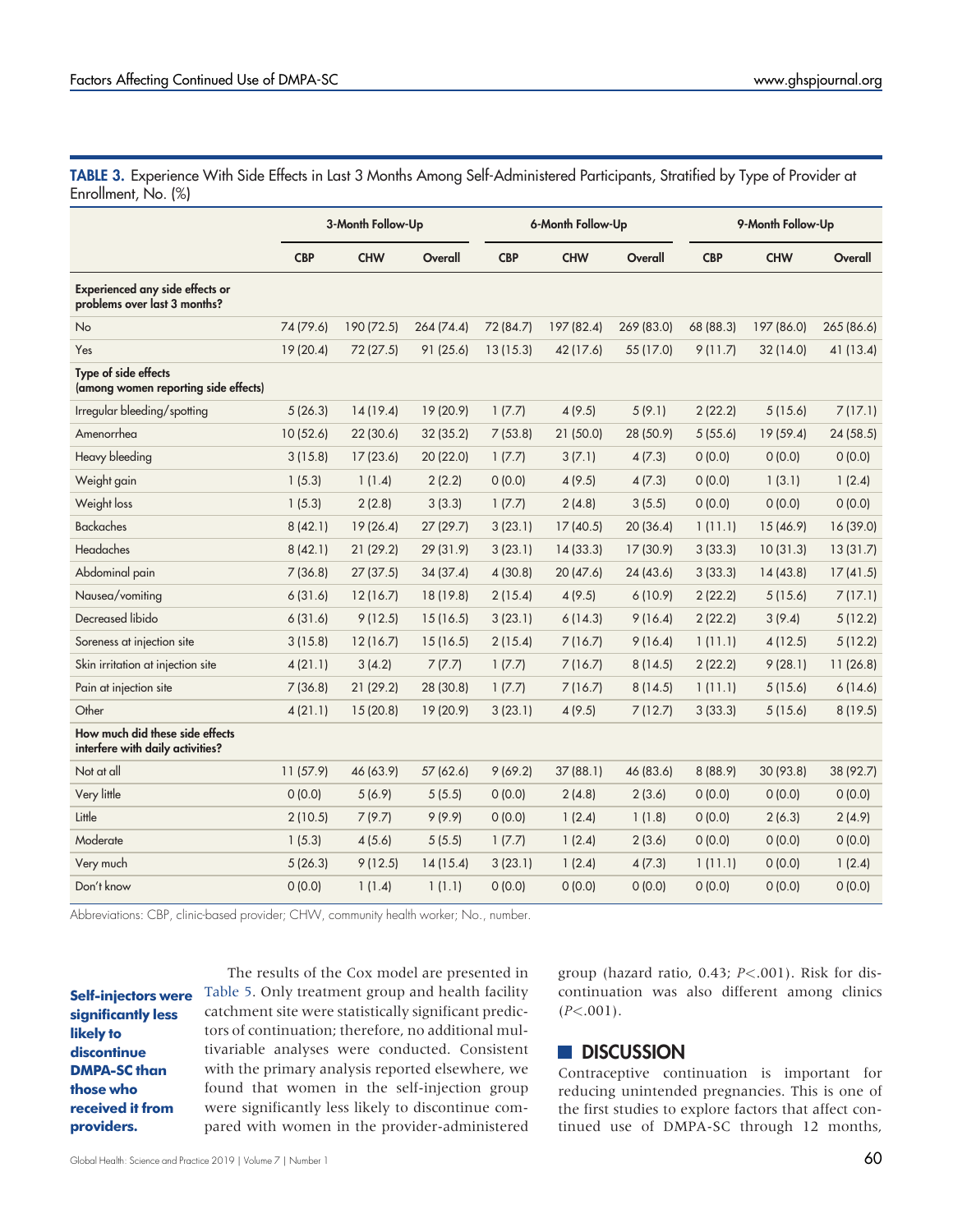<span id="page-6-0"></span>TABLE 3. Experience With Side Effects in Last 3 Months Among Self-Administered Participants, Stratified by Type of Provider at Enrollment, No. (%)

|                                                                        | 3-Month Follow-Up |            | 6-Month Follow-Up |            |            | 9-Month Follow-Up |            |            |            |
|------------------------------------------------------------------------|-------------------|------------|-------------------|------------|------------|-------------------|------------|------------|------------|
|                                                                        | <b>CBP</b>        | <b>CHW</b> | Overall           | <b>CBP</b> | <b>CHW</b> | Overall           | <b>CBP</b> | <b>CHW</b> | Overall    |
| <b>Experienced any side effects or</b><br>problems over last 3 months? |                   |            |                   |            |            |                   |            |            |            |
| No                                                                     | 74 (79.6)         | 190 (72.5) | 264(74.4)         | 72 (84.7)  | 197 (82.4) | 269 (83.0)        | 68 (88.3)  | 197 (86.0) | 265 (86.6) |
| Yes                                                                    | 19 (20.4)         | 72 (27.5)  | 91 (25.6)         | 13(15.3)   | 42 (17.6)  | 55 (17.0)         | 9(11.7)    | 32 (14.0)  | 41 (13.4)  |
| Type of side effects<br>(among women reporting side effects)           |                   |            |                   |            |            |                   |            |            |            |
| Irregular bleeding/spotting                                            | 5(26.3)           | 14(19.4)   | 19 (20.9)         | 1(7.7)     | 4(9.5)     | 5(9.1)            | 2(22.2)    | 5(15.6)    | 7(17.1)    |
| Amenorrhea                                                             | 10(52.6)          | 22(30.6)   | 32 (35.2)         | 7(53.8)    | 21(50.0)   | 28 (50.9)         | 5(55.6)    | 19(59.4)   | 24(58.5)   |
| Heavy bleeding                                                         | 3(15.8)           | 17(23.6)   | 20 (22.0)         | 1(7.7)     | 3(7.1)     | 4(7.3)            | 0(0.0)     | 0(0.0)     | 0(0.0)     |
| Weight gain                                                            | 1(5.3)            | 1(1.4)     | 2(2.2)            | 0(0.0)     | 4(9.5)     | 4(7.3)            | 0(0.0)     | 1(3.1)     | 1(2.4)     |
| Weight loss                                                            | 1(5.3)            | 2(2.8)     | 3(3.3)            | 1(7.7)     | 2(4.8)     | 3(5.5)            | 0(0.0)     | 0(0.0)     | 0(0.0)     |
| <b>Backaches</b>                                                       | 8(42.1)           | 19(26.4)   | 27 (29.7)         | 3(23.1)    | 17(40.5)   | 20 (36.4)         | 1(11.1)    | 15 (46.9)  | 16 (39.0)  |
| Headaches                                                              | 8(42.1)           | 21 (29.2)  | 29 (31.9)         | 3(23.1)    | 14(33.3)   | 17 (30.9)         | 3(33.3)    | 10(31.3)   | 13(31.7)   |
| Abdominal pain                                                         | 7(36.8)           | 27(37.5)   | 34 (37.4)         | 4(30.8)    | 20(47.6)   | 24(43.6)          | 3(33.3)    | 14(43.8)   | 17(41.5)   |
| Nausea/vomiting                                                        | 6(31.6)           | 12(16.7)   | 18 (19.8)         | 2(15.4)    | 4(9.5)     | 6(10.9)           | 2(22.2)    | 5(15.6)    | 7(17.1)    |
| Decreased libido                                                       | 6(31.6)           | 9(12.5)    | 15(16.5)          | 3(23.1)    | 6(14.3)    | 9(16.4)           | 2(22.2)    | 3(9.4)     | 5(12.2)    |
| Soreness at injection site                                             | 3(15.8)           | 12(16.7)   | 15(16.5)          | 2(15.4)    | 7(16.7)    | 9(16.4)           | 1(11.1)    | 4(12.5)    | 5(12.2)    |
| Skin irritation at injection site                                      | 4(21.1)           | 3(4.2)     | 7(7.7)            | 1(7.7)     | 7(16.7)    | 8(14.5)           | 2(22.2)    | 9(28.1)    | 11(26.8)   |
| Pain at injection site                                                 | 7(36.8)           | 21(29.2)   | 28 (30.8)         | 1(7.7)     | 7(16.7)    | 8(14.5)           | 1(11.1)    | 5(15.6)    | 6(14.6)    |
| Other                                                                  | 4(21.1)           | 15(20.8)   | 19 (20.9)         | 3(23.1)    | 4(9.5)     | 7(12.7)           | 3(33.3)    | 5(15.6)    | 8(19.5)    |
| How much did these side effects<br>interfere with daily activities?    |                   |            |                   |            |            |                   |            |            |            |
| Not at all                                                             | 11(57.9)          | 46 (63.9)  | 57 (62.6)         | 9(69.2)    | 37(88.1)   | 46 (83.6)         | 8 (88.9)   | 30 (93.8)  | 38 (92.7)  |
| Very little                                                            | 0(0.0)            | 5(6.9)     | 5(5.5)            | 0(0.0)     | 2(4.8)     | 2(3.6)            | 0(0.0)     | 0(0.0)     | 0(0.0)     |
| Little                                                                 | 2(10.5)           | 7(9.7)     | 9(9.9)            | 0(0.0)     | 1(2.4)     | 1(1.8)            | 0(0.0)     | 2(6.3)     | 2(4.9)     |
| Moderate                                                               | 1(5.3)            | 4(5.6)     | 5(5.5)            | 1(7.7)     | 1(2.4)     | 2(3.6)            | 0(0.0)     | 0(0.0)     | 0(0.0)     |
| Very much                                                              | 5(26.3)           | 9(12.5)    | 14(15.4)          | 3(23.1)    | 1(2.4)     | 4(7.3)            | 1(11.1)    | 0(0.0)     | 1(2.4)     |
| Don't know                                                             | 0(0.0)            | 1(1.4)     | 1(1.1)            | 0(0.0)     | 0(0.0)     | 0(0.0)            | 0(0.0)     | 0(0.0)     | 0(0.0)     |

Abbreviations: CBP, clinic-based provider; CHW, community health worker; No., number.

Self-injectors were significantly less likely to **discontinue** DMPA-SC than those who received it from providers.

The results of the Cox model are presented in [Table 5.](#page-8-0) Only treatment group and health facility catchment site were statistically significant predictors of continuation; therefore, no additional multivariable analyses were conducted. Consistent with the primary analysis reported elsewhere, we found that women in the self-injection group were significantly less likely to discontinue compared with women in the provider-administered group (hazard ratio, 0.43; P<.001). Risk for discontinuation was also different among clinics  $(P<.001)$ .

## **DISCUSSION**

Contraceptive continuation is important for reducing unintended pregnancies. This is one of the first studies to explore factors that affect continued use of DMPA-SC through 12 months,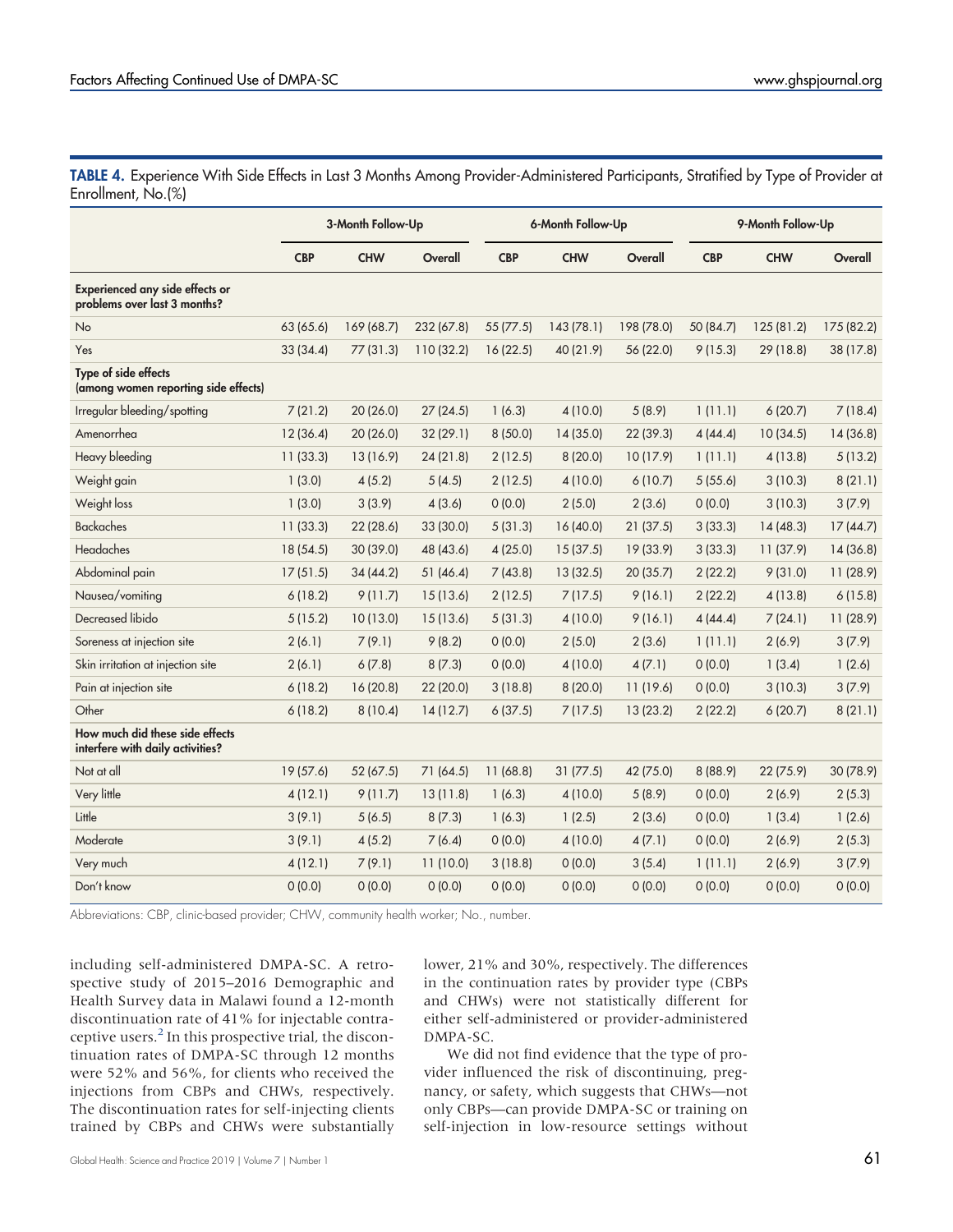<span id="page-7-0"></span>TABLE 4. Experience With Side Effects in Last 3 Months Among Provider-Administered Participants, Stratified by Type of Provider at Enrollment, No.(%)

|                                                                        | 3-Month Follow-Up |            | 6-Month Follow-Up |            |            | 9-Month Follow-Up |            |            |            |
|------------------------------------------------------------------------|-------------------|------------|-------------------|------------|------------|-------------------|------------|------------|------------|
|                                                                        | <b>CBP</b>        | <b>CHW</b> | Overall           | <b>CBP</b> | <b>CHW</b> | Overall           | <b>CBP</b> | <b>CHW</b> | Overall    |
| <b>Experienced any side effects or</b><br>problems over last 3 months? |                   |            |                   |            |            |                   |            |            |            |
| <b>No</b>                                                              | 63 (65.6)         | 169 (68.7) | 232 (67.8)        | 55 (77.5)  | 143 (78.1) | 198 (78.0)        | 50 (84.7)  | 125 (81.2) | 175 (82.2) |
| Yes                                                                    | 33(34.4)          | 77(31.3)   | 110 (32.2)        | 16(22.5)   | 40 (21.9)  | 56 (22.0)         | 9(15.3)    | 29(18.8)   | 38 (17.8)  |
| Type of side effects<br>(among women reporting side effects)           |                   |            |                   |            |            |                   |            |            |            |
| Irregular bleeding/spotting                                            | 7(21.2)           | 20 (26.0)  | 27(24.5)          | 1(6.3)     | 4(10.0)    | 5(8.9)            | 1(11.1)    | 6(20.7)    | 7(18.4)    |
| Amenorrhea                                                             | 12(36.4)          | 20 (26.0)  | 32 (29.1)         | 8(50.0)    | 14 (35.0)  | 22 (39.3)         | 4(44.4)    | 10(34.5)   | 14 (36.8)  |
| Heavy bleeding                                                         | 11(33.3)          | 13 (16.9)  | 24(21.8)          | 2(12.5)    | 8(20.0)    | 10(17.9)          | 1(11.1)    | 4 (13.8)   | 5(13.2)    |
| Weight gain                                                            | 1(3.0)            | 4(5.2)     | 5(4.5)            | 2(12.5)    | 4(10.0)    | 6(10.7)           | 5(55.6)    | 3(10.3)    | 8(21.1)    |
| Weight loss                                                            | 1(3.0)            | 3(3.9)     | 4(3.6)            | 0(0.0)     | 2(5.0)     | 2(3.6)            | 0(0.0)     | 3(10.3)    | 3(7.9)     |
| <b>Backaches</b>                                                       | 11(33.3)          | 22(28.6)   | 33 (30.0)         | 5(31.3)    | 16(40.0)   | 21(37.5)          | 3(33.3)    | 14(48.3)   | 17(44.7)   |
| <b>Headaches</b>                                                       | 18 (54.5)         | 30(39.0)   | 48 (43.6)         | 4(25.0)    | 15(37.5)   | 19 (33.9)         | 3(33.3)    | 11(37.9)   | 14(36.8)   |
| Abdominal pain                                                         | 17(51.5)          | 34(44.2)   | 51(46.4)          | 7(43.8)    | 13(32.5)   | 20(35.7)          | 2(22.2)    | 9(31.0)    | 11(28.9)   |
| Nausea/vomiting                                                        | 6(18.2)           | 9(11.7)    | 15(13.6)          | 2(12.5)    | 7(17.5)    | 9(16.1)           | 2(22.2)    | 4(13.8)    | 6(15.8)    |
| Decreased libido                                                       | 5(15.2)           | 10(13.0)   | 15(13.6)          | 5(31.3)    | 4(10.0)    | 9(16.1)           | 4(44.4)    | 7(24.1)    | 11 (28.9)  |
| Soreness at injection site                                             | 2(6.1)            | 7(9.1)     | 9(8.2)            | 0(0.0)     | 2(5.0)     | 2(3.6)            | 1(11.1)    | 2(6.9)     | 3(7.9)     |
| Skin irritation at injection site                                      | 2(6.1)            | 6(7.8)     | 8(7.3)            | 0(0.0)     | 4 (10.0)   | 4(7.1)            | 0(0.0)     | 1(3.4)     | 1(2.6)     |
| Pain at injection site                                                 | 6(18.2)           | 16(20.8)   | 22 (20.0)         | 3(18.8)    | 8(20.0)    | 11(19.6)          | 0(0.0)     | 3(10.3)    | 3(7.9)     |
| Other                                                                  | 6(18.2)           | 8(10.4)    | 14(12.7)          | 6(37.5)    | 7(17.5)    | 13(23.2)          | 2(22.2)    | 6(20.7)    | 8(21.1)    |
| How much did these side effects<br>interfere with daily activities?    |                   |            |                   |            |            |                   |            |            |            |
| Not at all                                                             | 19(57.6)          | 52(67.5)   | 71 (64.5)         | 11 (68.8)  | 31(77.5)   | 42 (75.0)         | 8(88.9)    | 22 (75.9)  | 30 (78.9)  |
| Very little                                                            | 4(12.1)           | 9(11.7)    | 13(11.8)          | 1(6.3)     | 4(10.0)    | 5(8.9)            | 0(0.0)     | 2(6.9)     | 2(5.3)     |
| Little                                                                 | 3(9.1)            | 5(6.5)     | 8(7.3)            | 1(6.3)     | 1(2.5)     | 2(3.6)            | 0(0.0)     | 1(3.4)     | 1(2.6)     |
| Moderate                                                               | 3(9.1)            | 4(5.2)     | 7(6.4)            | 0(0.0)     | 4(10.0)    | 4(7.1)            | 0(0.0)     | 2(6.9)     | 2(5.3)     |
| Very much                                                              | 4(12.1)           | 7(9.1)     | 11 (10.0)         | 3(18.8)    | 0(0.0)     | 3(5.4)            | 1(11.1)    | 2(6.9)     | 3(7.9)     |
| Don't know                                                             | 0(0.0)            | 0(0.0)     | 0(0.0)            | 0(0.0)     | 0(0.0)     | 0(0.0)            | 0(0.0)     | 0(0.0)     | 0(0.0)     |

Abbreviations: CBP, clinic-based provider; CHW, community health worker; No., number.

including self-administered DMPA-SC. A retrospective study of 2015–2016 Demographic and Health Survey data in Malawi found a 12-month discontinuation rate of 41% for injectable contraceptive users.<sup>2</sup> In this prospective trial, the discontinuation rates of DMPA-SC through 12 months were 52% and 56%, for clients who received the injections from CBPs and CHWs, respectively. The discontinuation rates for self-injecting clients trained by CBPs and CHWs were substantially lower, 21% and 30%, respectively. The differences in the continuation rates by provider type (CBPs and CHWs) were not statistically different for either self-administered or provider-administered DMPA-SC.

We did not find evidence that the type of provider influenced the risk of discontinuing, pregnancy, or safety, which suggests that CHWs—not only CBPs—can provide DMPA-SC or training on self-injection in low-resource settings without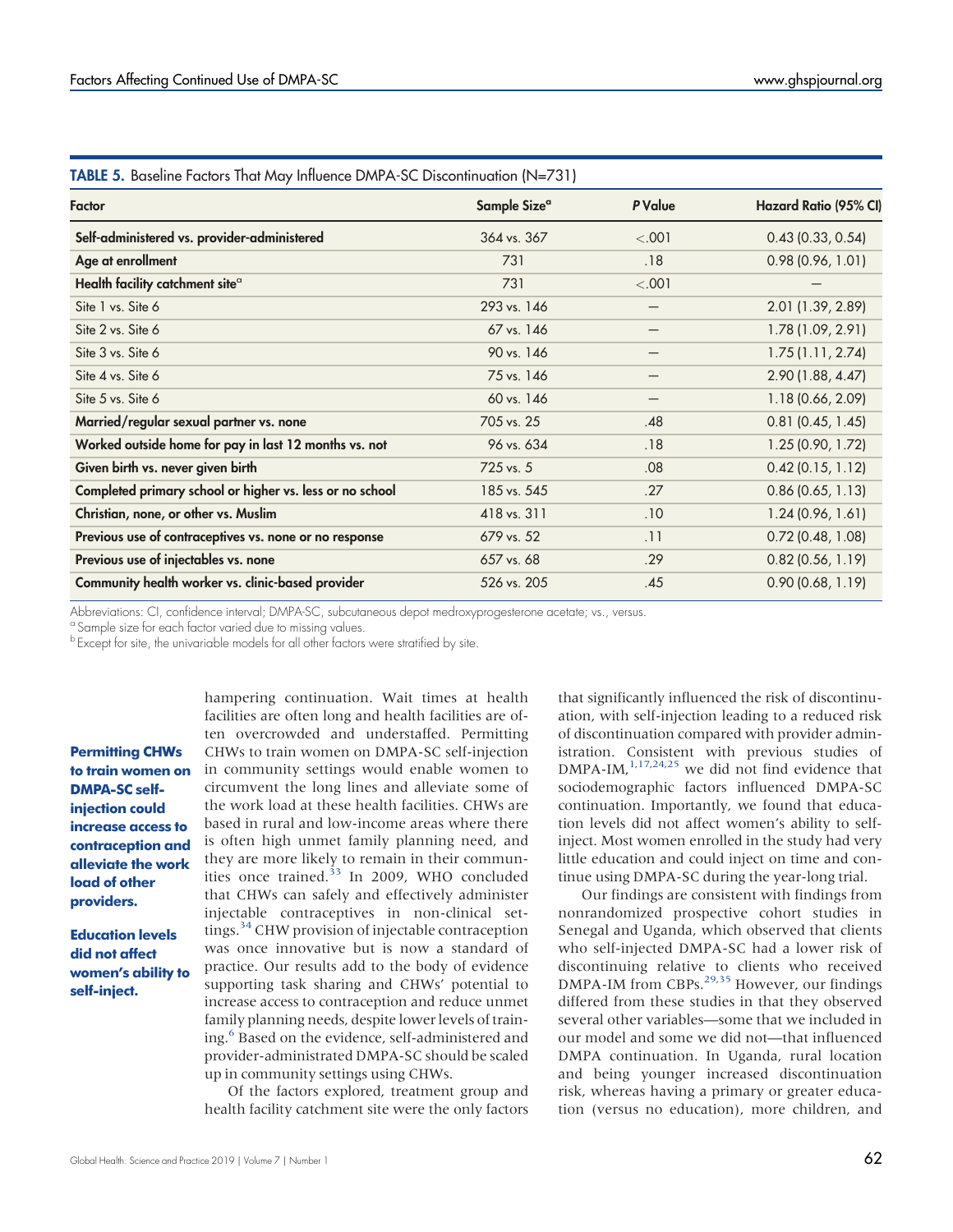<span id="page-8-0"></span>

| TABLE 5. Baseline Factors That May Influence DMPA-SC Discontinuation (N=731) |                          |         |                              |  |  |  |  |  |
|------------------------------------------------------------------------------|--------------------------|---------|------------------------------|--|--|--|--|--|
| Factor                                                                       | Sample Size <sup>a</sup> | P Value | <b>Hazard Ratio (95% CI)</b> |  |  |  |  |  |
| Self-administered vs. provider-administered                                  | 364 vs. 367              | < .001  | 0.43(0.33, 0.54)             |  |  |  |  |  |
| Age at enrollment                                                            | 731                      | .18     | 0.98(0.96, 1.01)             |  |  |  |  |  |
| Health facility catchment site <sup>a</sup>                                  | 731                      | < .001  |                              |  |  |  |  |  |
| Site 1 vs. Site 6                                                            | 293 vs. 146              |         | 2.01 (1.39, 2.89)            |  |  |  |  |  |
| Site 2 vs. Site 6                                                            | 67 vs. 146               |         | 1.78 (1.09, 2.91)            |  |  |  |  |  |
| Site 3 vs. Site 6                                                            | 90 vs. 146               |         | 1.75(1.11, 2.74)             |  |  |  |  |  |
| Site 4 vs. Site 6                                                            | 75 vs. 146               |         | 2.90 (1.88, 4.47)            |  |  |  |  |  |
| Site 5 vs. Site 6                                                            | 60 vs. 146               |         | 1.18 (0.66, 2.09)            |  |  |  |  |  |
| Married/regular sexual partner vs. none                                      | 705 vs. 25               | .48     | $0.81$ (0.45, 1.45)          |  |  |  |  |  |
| Worked outside home for pay in last 12 months vs. not                        | 96 vs. 634               | .18     | 1.25(0.90, 1.72)             |  |  |  |  |  |
| Given birth vs. never given birth                                            | 725 vs. 5                | .08     | $0.42$ (0.15, 1.12)          |  |  |  |  |  |
| Completed primary school or higher vs. less or no school                     | 185 vs. 545              | .27     | $0.86$ (0.65, 1.13)          |  |  |  |  |  |
| Christian, none, or other vs. Muslim                                         | 418 vs. 311              | .10     | 1.24(0.96, 1.61)             |  |  |  |  |  |
| Previous use of contraceptives vs. none or no response                       | 679 vs. 52               | .11     | $0.72$ (0.48, 1.08)          |  |  |  |  |  |
| Previous use of injectables vs. none                                         | 657 vs. 68               | .29     | $0.82$ (0.56, 1.19)          |  |  |  |  |  |
| Community health worker vs. clinic-based provider                            | 526 vs. 205              | .45     | 0.90(0.68, 1.19)             |  |  |  |  |  |

Abbreviations: CI, confidence interval; DMPA-SC, subcutaneous depot medroxyprogesterone acetate; vs., versus.

<sup>a</sup> Sample size for each factor varied due to missing values.

b Except for site, the univariable models for all other factors were stratified by site.

Permitting CHWs to train women on DMPA-SC selfiniection could increase access to contraception and alleviate the work load of other providers.

#### Education levels did not affect women's ability to self-inject.

hampering continuation. Wait times at health facilities are often long and health facilities are often overcrowded and understaffed. Permitting CHWs to train women on DMPA-SC self-injection in community settings would enable women to circumvent the long lines and alleviate some of the work load at these health facilities. CHWs are based in rural and low-income areas where there is often high unmet family planning need, and they are more likely to remain in their communities once trained. $33$  In 2009, WHO concluded that CHWs can safely and effectively administer injectable contraceptives in non-clinical settings.<sup>34</sup> CHW provision of injectable contraception was once innovative but is now a standard of practice. Our results add to the body of evidence supporting task sharing and CHWs' potential to increase access to contraception and reduce unmet family planning needs, despite lower levels of training.<sup>6</sup> Based on the evidence, self-administered and provider-administrated DMPA-SC should be scaled up in community settings using CHWs.

Of the factors explored, treatment group and health facility catchment site were the only factors that significantly influenced the risk of discontinuation, with self-injection leading to a reduced risk of discontinuation compared with provider administration. Consistent with previous studies of  $DMPA-IM$ ,  $^{1,17,24,25}$  $^{1,17,24,25}$  $^{1,17,24,25}$  $^{1,17,24,25}$  $^{1,17,24,25}$  $^{1,17,24,25}$  we did not find evidence that sociodemographic factors influenced DMPA-SC continuation. Importantly, we found that education levels did not affect women's ability to selfinject. Most women enrolled in the study had very little education and could inject on time and continue using DMPA-SC during the year-long trial.

Our findings are consistent with findings from nonrandomized prospective cohort studies in Senegal and Uganda, which observed that clients who self-injected DMPA-SC had a lower risk of discontinuing relative to clients who received DMPA-IM from CBPs.<sup>[29](#page-10-20)[,35](#page-11-0)</sup> However, our findings differed from these studies in that they observed several other variables—some that we included in our model and some we did not—that influenced DMPA continuation. In Uganda, rural location and being younger increased discontinuation risk, whereas having a primary or greater education (versus no education), more children, and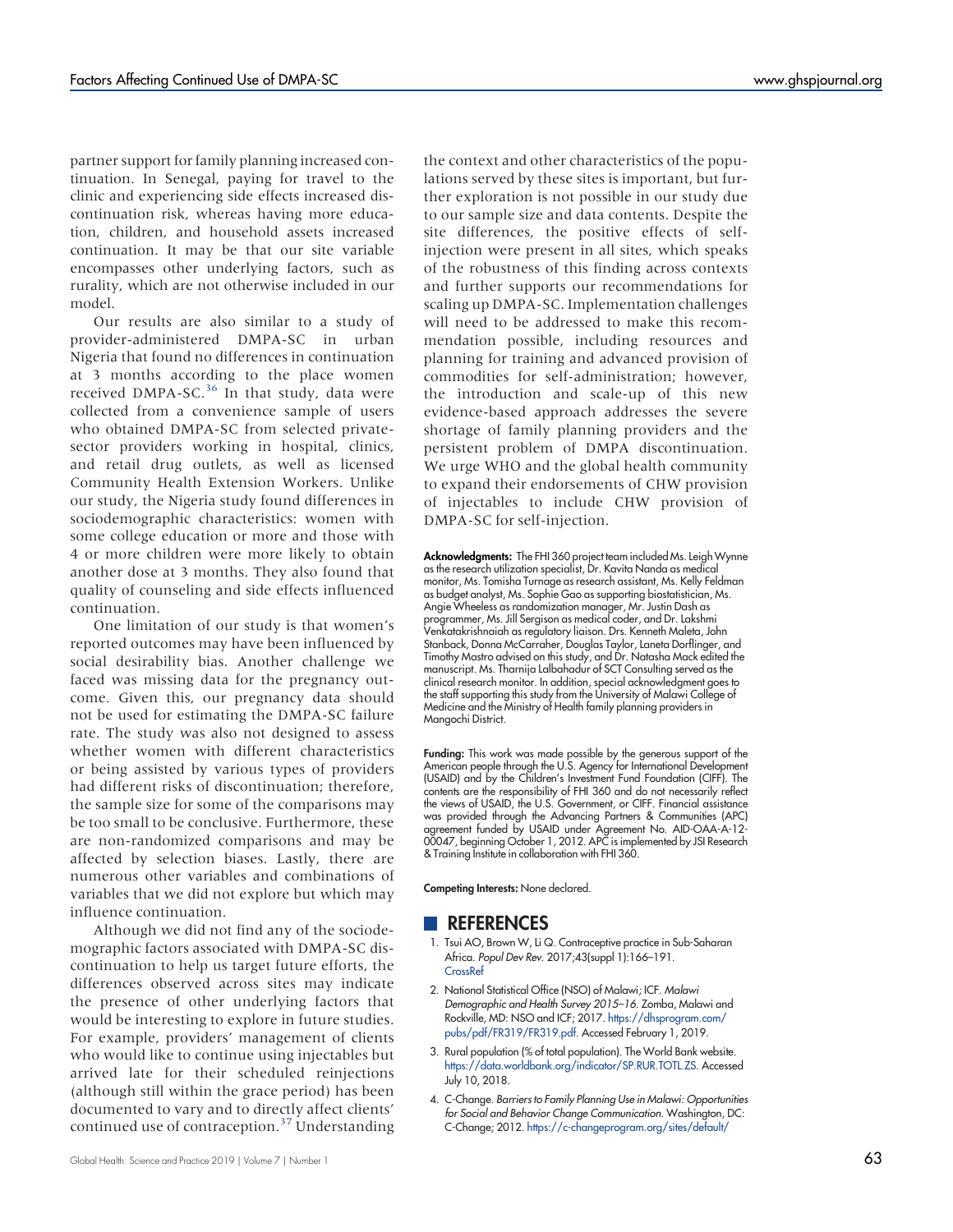partner support for family planning increased continuation. In Senegal, paying for travel to the clinic and experiencing side effects increased discontinuation risk, whereas having more education, children, and household assets increased continuation. It may be that our site variable encompasses other underlying factors, such as rurality, which are not otherwise included in our model.

Our results are also similar to a study of provider-administered DMPA-SC in urban Nigeria that found no differences in continuation at 3 months according to the place women received DMPA-SC. $36$  In that study, data were collected from a convenience sample of users who obtained DMPA-SC from selected privatesector providers working in hospital, clinics, and retail drug outlets, as well as licensed Community Health Extension Workers. Unlike our study, the Nigeria study found differences in sociodemographic characteristics: women with some college education or more and those with 4 or more children were more likely to obtain another dose at 3 months. They also found that quality of counseling and side effects influenced continuation.

One limitation of our study is that women's reported outcomes may have been influenced by social desirability bias. Another challenge we faced was missing data for the pregnancy outcome. Given this, our pregnancy data should not be used for estimating the DMPA-SC failure rate. The study was also not designed to assess whether women with different characteristics or being assisted by various types of providers had different risks of discontinuation; therefore, the sample size for some of the comparisons may be too small to be conclusive. Furthermore, these are non-randomized comparisons and may be affected by selection biases. Lastly, there are numerous other variables and combinations of variables that we did not explore but which may influence continuation.

Although we did not find any of the sociodemographic factors associated with DMPA-SC discontinuation to help us target future efforts, the differences observed across sites may indicate the presence of other underlying factors that would be interesting to explore in future studies. For example, providers' management of clients who would like to continue using injectables but arrived late for their scheduled reinjections (although still within the grace period) has been documented to vary and to directly affect clients' continued use of contraception.<sup>[37](#page-11-2)</sup> Understanding the context and other characteristics of the populations served by these sites is important, but further exploration is not possible in our study due to our sample size and data contents. Despite the site differences, the positive effects of selfinjection were present in all sites, which speaks of the robustness of this finding across contexts and further supports our recommendations for scaling up DMPA-SC. Implementation challenges will need to be addressed to make this recommendation possible, including resources and planning for training and advanced provision of commodities for self-administration; however, the introduction and scale-up of this new evidence-based approach addresses the severe shortage of family planning providers and the persistent problem of DMPA discontinuation. We urge WHO and the global health community to expand their endorsements of CHW provision of injectables to include CHW provision of DMPA-SC for self-injection.

Acknowledgments: The FHI 360 project team included Ms. Leigh Wynne as the research utilization specialist, Dr. Kavita Nanda as medical monitor, Ms. Tomisha Turnage as research assistant, Ms. Kelly Feldman as budget analyst, Ms. Sophie Gao as supporting biostatistician, Ms. Angie Wheeless as randomization manager, Mr. Justin Dash as programmer, Ms. Jill Sergison as medical coder, and Dr. Lakshmi Venkatakrishnaiah as regulatory liaison. Drs. Kenneth Maleta, John Stanback, Donna McCarraher, Douglas Taylor, Laneta Dorflinger, and Timothy Mastro advised on this study, and Dr. Natasha Mack edited the manuscript. Ms. Tharnija Lalbahadur of SCT Consulting served as the clinical research monitor. In addition, special acknowledgment goes to the staff supporting this study from the University of Malawi College of Medicine and the Ministry of Health family planning providers in Mangochi District.

Funding: This work was made possible by the generous support of the American people through the U.S. Agency for International Development (USAID) and by the Children's Investment Fund Foundation (CIFF). The contents are the responsibility of FHI 360 and do not necessarily reflect the views of USAID, the U.S. Government, or CIFF. Financial assistance was provided through the Advancing Partners & Communities (APC) agreement funded by USAID under Agreement No. AID-OAA-A-12- 00047, beginning October 1, 2012. APC is implemented by JSI Research & Training Institute in collaboration with FHI 360.

Competing Interests: None declared.

#### **REFERENCES**

- <span id="page-9-0"></span>1. Tsui AO, Brown W, Li Q. Contraceptive practice in Sub-Saharan Africa. Popul Dev Rev. 2017;43(suppl 1):166–191. **[CrossRef](https://doi.org/10.1111/padr.12051)**
- <span id="page-9-1"></span>2. National Statistical Office (NSO) of Malawi; ICF. Malawi Demographic and Health Survey 2015–16. Zomba, Malawi and Rockville, MD: NSO and ICF; 2017. [https://dhsprogram.com/](https://dhsprogram.com/pubs/pdf/FR319/FR319.pdf) [pubs/pdf/FR319/FR319.pdf](https://dhsprogram.com/pubs/pdf/FR319/FR319.pdf). Accessed February 1, 2019.
- 3. Rural population (% of total population). The World Bank website. <https://data.worldbank.org/indicator/SP.RUR.TOTL.ZS>. Accessed July 10, 2018.
- <span id="page-9-2"></span>4. C-Change. Barriers to Family Planning Use in Malawi: Opportunities for Social and Behavior Change Communication. Washington, DC: C-Change; 2012. [https://c-changeprogram.org/sites/default/](https://c-changeprogram.org/sites/default/files/Barriers-to-Family-Planning-Use-Malawi.pdf)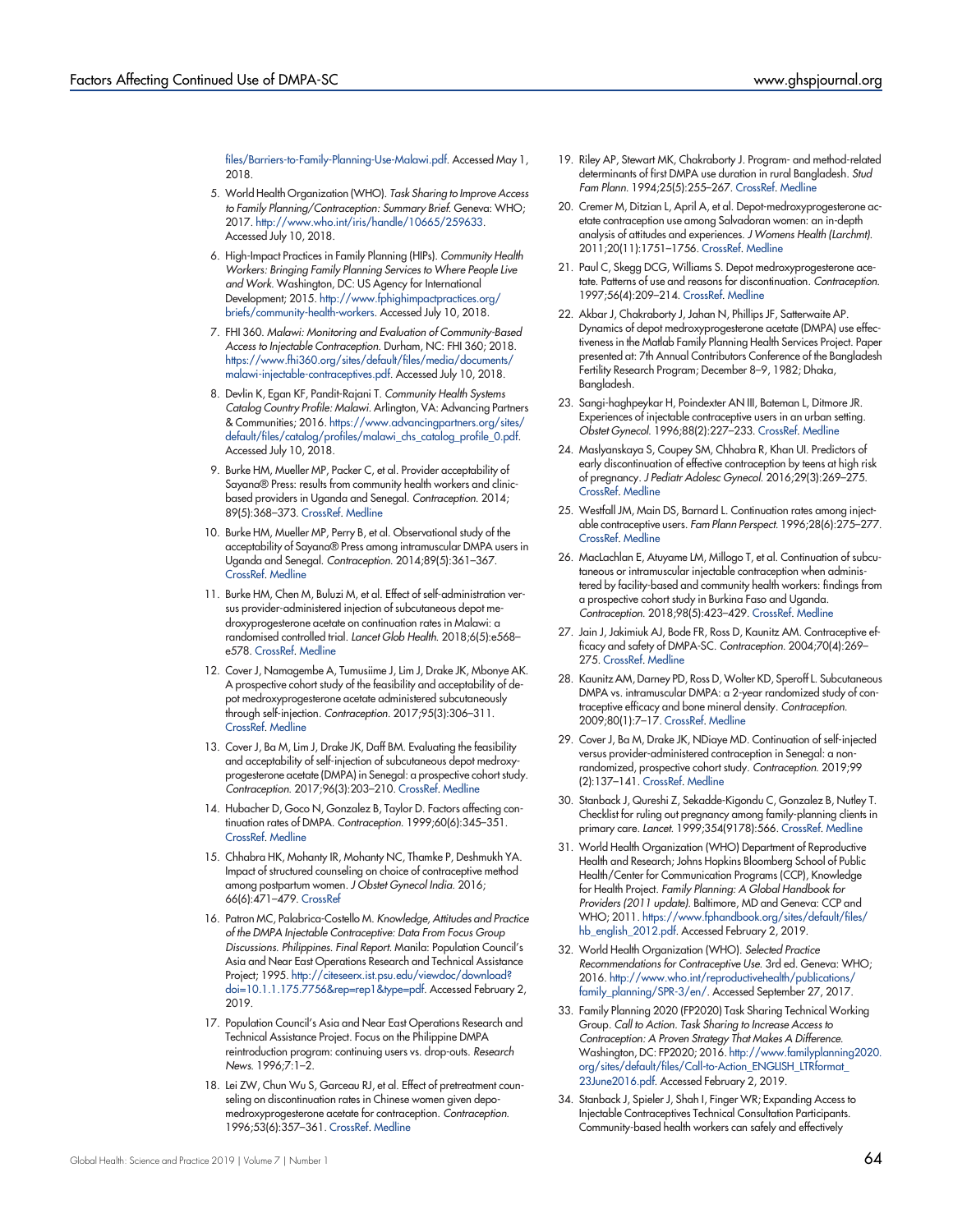[files/Barriers-to-Family-Planning-Use-Malawi.pdf](https://c-changeprogram.org/sites/default/files/Barriers-to-Family-Planning-Use-Malawi.pdf). Accessed May 1, 2018.

- <span id="page-10-0"></span>5. World Health Organization (WHO). Task Sharing to Improve Access to Family Planning/Contraception: Summary Brief. Geneva: WHO; 2017. <http://www.who.int/iris/handle/10665/259633>. Accessed July 10, 2018.
- <span id="page-10-1"></span>6. High-Impact Practices in Family Planning (HIPs). Community Health Workers: Bringing Family Planning Services to Where People Live and Work. Washington, DC: US Agency for International Development; 2015. [http://www.fphighimpactpractices.org/](http://www.fphighimpactpractices.org/briefs/community-health-workers) [briefs/community-health-workers.](http://www.fphighimpactpractices.org/briefs/community-health-workers) Accessed July 10, 2018.
- <span id="page-10-2"></span>7. FHI 360. Malawi: Monitoring and Evaluation of Community-Based Access to Injectable Contraception. Durham, NC: FHI 360; 2018. [https://www.fhi360.org/sites/default/files/media/documents/](https://www.fhi360.org/sites/default/files/media/documents/malawi-injectable-contraceptives.pdf) [malawi-injectable-contraceptives.pdf.](https://www.fhi360.org/sites/default/files/media/documents/malawi-injectable-contraceptives.pdf) Accessed July 10, 2018.
- <span id="page-10-3"></span>8. Devlin K, Egan KF, Pandit-Rajani T. Community Health Systems Catalog Country Profile: Malawi. Arlington, VA: Advancing Partners & Communities; 2016. [https://www.advancingpartners.org/sites/](https://www.advancingpartners.org/sites/default/files/catalog/profiles/malawi_chs_catalog_profile_0.pdf) [default/files/catalog/profiles/malawi\\_chs\\_catalog\\_profile\\_0.pdf.](https://www.advancingpartners.org/sites/default/files/catalog/profiles/malawi_chs_catalog_profile_0.pdf) Accessed July 10, 2018.
- <span id="page-10-4"></span>9. Burke HM, Mueller MP, Packer C, et al. Provider acceptability of Sayana® Press: results from community health workers and clinicbased providers in Uganda and Senegal. Contraception. 2014; 89(5):368–373. [CrossRef.](https://doi.org/10.1016/j.contraception.2014.01.009) [Medline](http://www.ncbi.nlm.nih.gov/pubmed/24576792)
- <span id="page-10-5"></span>10. Burke HM, Mueller MP, Perry B, et al. Observational study of the acceptability of Sayana® Press among intramuscular DMPA users in Uganda and Senegal. Contraception. 2014;89(5):361–367. [CrossRef.](https://doi.org/10.1016/j.contraception.2014.01.022) [Medline](http://www.ncbi.nlm.nih.gov/pubmed/24631328)
- <span id="page-10-6"></span>11. Burke HM, Chen M, Buluzi M, et al. Effect of self-administration versus provider-administered injection of subcutaneous depot medroxyprogesterone acetate on continuation rates in Malawi: a randomised controlled trial. Lancet Glob Health. 2018;6(5):e568– e578. [CrossRef.](https://doi.org/10.1016/S2214-109X(18)30061-5) [Medline](http://www.ncbi.nlm.nih.gov/pubmed/29526707)
- <span id="page-10-7"></span>12. Cover J, Namagembe A, Tumusiime J, Lim J, Drake JK, Mbonye AK. A prospective cohort study of the feasibility and acceptability of depot medroxyprogesterone acetate administered subcutaneously through self-injection. Contraception. 2017;95(3):306–311. [CrossRef.](https://doi.org/10.1016/j.contraception.2016.10.007) [Medline](http://www.ncbi.nlm.nih.gov/pubmed/27789309)
- <span id="page-10-8"></span>13. Cover J, Ba M, Lim J, Drake JK, Daff BM. Evaluating the feasibility and acceptability of self-injection of subcutaneous depot medroxyprogesterone acetate (DMPA) in Senegal: a prospective cohort study. Contraception. 2017;96(3):203–210. [CrossRef](https://doi.org/10.1016/j.contraception.2017.06.010). [Medline](http://www.ncbi.nlm.nih.gov/pubmed/28673645)
- <span id="page-10-9"></span>14. Hubacher D, Goco N, Gonzalez B, Taylor D. Factors affecting continuation rates of DMPA. Contraception. 1999;60(6):345–351. [CrossRef.](https://doi.org/10.1016/S0010-7824(99)00104-3) [Medline](http://www.ncbi.nlm.nih.gov/pubmed/10715369)
- 15. Chhabra HK, Mohanty IR, Mohanty NC, Thamke P, Deshmukh YA. Impact of structured counseling on choice of contraceptive method among postpartum women. J Obstet Gynecol India. 2016; 66(6):471–479. [CrossRef](https://doi.org/10.1007%2Fs13224-015-0721-x)
- <span id="page-10-11"></span>16. Patron MC, Palabrica-Costello M. Knowledge, Attitudes and Practice of the DMPA Injectable Contraceptive: Data From Focus Group Discussions. Philippines. Final Report. Manila: Population Council's Asia and Near East Operations Research and Technical Assistance Project; 1995. [http://citeseerx.ist.psu.edu/viewdoc/download?](http://citeseerx.ist.psu.edu/viewdoc/download?doi=10.1.1.175.7756&rep=rep1&type=pdf) [doi=10.1.1.175.7756&rep=rep1&type=pdf.](http://citeseerx.ist.psu.edu/viewdoc/download?doi=10.1.1.175.7756&rep=rep1&type=pdf) Accessed February 2, 2019.
- <span id="page-10-14"></span>17. Population Council's Asia and Near East Operations Research and Technical Assistance Project. Focus on the Philippine DMPA reintroduction program: continuing users vs. drop-outs. Research News. 1996;7:1–2.
- <span id="page-10-10"></span>18. Lei ZW, Chun Wu S, Garceau RJ, et al. Effect of pretreatment counseling on discontinuation rates in Chinese women given depomedroxyprogesterone acetate for contraception. Contraception. 1996;53(6):357–361. [CrossRef.](https://doi.org/10.1016/0010-7824(96)00085-6) [Medline](http://www.ncbi.nlm.nih.gov/pubmed/8773423)
- <span id="page-10-12"></span>20. Cremer M, Ditzian L, April A, et al. Depot-medroxyprogesterone acetate contraception use among Salvadoran women: an in-depth analysis of attitudes and experiences. J Womens Health (Larchmt). 2011;20(11):1751–1756. [CrossRef](https://doi.org/10.1089/jwh.2010.2264). [Medline](http://www.ncbi.nlm.nih.gov/pubmed/21823919)
- 21. Paul C, Skegg DCG, Williams S. Depot medroxyprogesterone acetate. Patterns of use and reasons for discontinuation. Contraception. 1997;56(4):209–214. [CrossRef](https://doi.org/10.1016/S0010-7824(97)00140-6). [Medline](http://www.ncbi.nlm.nih.gov/pubmed/9408701)
- 22. Akbar J, Chakraborty J, Jahan N, Phillips JF, Satterwaite AP. Dynamics of depot medroxyprogesterone acetate (DMPA) use effectiveness in the Matlab Family Planning Health Services Project. Paper presented at: 7th Annual Contributors Conference of the Bangladesh Fertility Research Program; December 8–9, 1982; Dhaka, Bangladesh.
- <span id="page-10-13"></span>23. Sangi-haghpeykar H, Poindexter AN III, Bateman L, Ditmore JR. Experiences of injectable contraceptive users in an urban setting. Obstet Gynecol. 1996;88(2):227–233. [CrossRef](https://doi.org/10.1016/0029-7844(96)00194-9). [Medline](http://www.ncbi.nlm.nih.gov/pubmed/8692507)
- <span id="page-10-15"></span>24. Maslyanskaya S, Coupey SM, Chhabra R, Khan UI. Predictors of early discontinuation of effective contraception by teens at high risk of pregnancy. J Pediatr Adolesc Gynecol. 2016;29(3):269–275. [CrossRef](https://doi.org/10.1016/j.jpag.2015.10.014). [Medline](http://www.ncbi.nlm.nih.gov/pubmed/26526036)
- <span id="page-10-16"></span>25. Westfall JM, Main DS, Barnard L. Continuation rates among injectable contraceptive users. Fam Plann Perspect. 1996;28(6):275–277. [CrossRef](https://doi.org/10.2307/2136058). [Medline](http://www.ncbi.nlm.nih.gov/pubmed/8959418)
- <span id="page-10-17"></span>26. MacLachlan E, Atuyame LM, Millogo T, et al. Continuation of subcutaneous or intramuscular injectable contraception when administered by facility-based and community health workers: findings from a prospective cohort study in Burkina Faso and Uganda. Contraception. 2018;98(5):423–429. [CrossRef.](https://doi.org/10.1016/j.contraception.2018.08.007) [Medline](http://www.ncbi.nlm.nih.gov/pubmed/30125558)
- <span id="page-10-18"></span>27. Jain J, Jakimiuk AJ, Bode FR, Ross D, Kaunitz AM. Contraceptive efficacy and safety of DMPA-SC. Contraception. 2004;70(4):269– 275. [CrossRef.](https://doi.org/10.1016/j.contraception.2004.06.011) [Medline](http://www.ncbi.nlm.nih.gov/pubmed/15451329)
- <span id="page-10-19"></span>28. Kaunitz AM, Darney PD, Ross D, Wolter KD, Speroff L. Subcutaneous DMPA vs. intramuscular DMPA: a 2-year randomized study of contraceptive efficacy and bone mineral density. Contraception. 2009;80(1):7–17. [CrossRef](https://doi.org/10.1016/j.contraception.2009.02.005). [Medline](http://www.ncbi.nlm.nih.gov/pubmed/19501210)
- <span id="page-10-20"></span>29. Cover J, Ba M, Drake JK, NDiaye MD. Continuation of self-injected versus provider-administered contraception in Senegal: a nonrandomized, prospective cohort study. Contraception. 2019;99 (2):137–141. [CrossRef](https://doi.org/10.1016/j.contraception.2018.11.001). [Medline](http://www.ncbi.nlm.nih.gov/pubmed/30439358)
- <span id="page-10-21"></span>30. Stanback J, Qureshi Z, Sekadde-Kigondu C, Gonzalez B, Nutley T. Checklist for ruling out pregnancy among family-planning clients in primary care. Lancet. 1999;354(9178):566. [CrossRef](https://doi.org/10.1016/S0140-6736(99)01578-0). [Medline](http://www.ncbi.nlm.nih.gov/pubmed/10470704)
- 31. World Health Organization (WHO) Department of Reproductive Health and Research; Johns Hopkins Bloomberg School of Public Health/Center for Communication Programs (CCP), Knowledge for Health Project. Family Planning: A Global Handbook for Providers (2011 update). Baltimore, MD and Geneva: CCP and WHO; 2011. [https://www.fphandbook.org/sites/default/files/](https://www.fphandbook.org/sites/default/files/hb_english_2012.pdf) [hb\\_english\\_2012.pdf](https://www.fphandbook.org/sites/default/files/hb_english_2012.pdf). Accessed February 2, 2019.
- <span id="page-10-22"></span>32. World Health Organization (WHO). Selected Practice Recommendations for Contraceptive Use. 3rd ed. Geneva: WHO; 2016. [http://www.who.int/reproductivehealth/publications/](http://www.who.int/reproductivehealth/publications/family_planning/SPR-3/en/) [family\\_planning/SPR-3/en/](http://www.who.int/reproductivehealth/publications/family_planning/SPR-3/en/). Accessed September 27, 2017.
- <span id="page-10-23"></span>33. Family Planning 2020 (FP2020) Task Sharing Technical Working Group. Call to Action. Task Sharing to Increase Access to Contraception: A Proven Strategy That Makes A Difference. Washington, DC: FP2020; 2016. [http://www.familyplanning2020.](http://www.familyplanning2020.org/sites/default/files/Call-to-Action_ENGLISH_LTRformat_23June2016.pdf) [org/sites/default/files/Call-to-Action\\_ENGLISH\\_LTRformat\\_](http://www.familyplanning2020.org/sites/default/files/Call-to-Action_ENGLISH_LTRformat_23June2016.pdf) [23June2016.pdf.](http://www.familyplanning2020.org/sites/default/files/Call-to-Action_ENGLISH_LTRformat_23June2016.pdf) Accessed February 2, 2019.
- <span id="page-10-24"></span>34. Stanback J, Spieler J, Shah I, Finger WR; Expanding Access to Injectable Contraceptives Technical Consultation Participants. Community-based health workers can safely and effectively